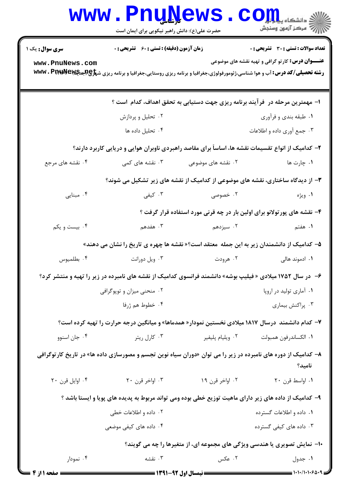|                                                                                | <b>www.PnuNews</b><br>حضرت علی(ع): دانش راهبر نیکویی برای ایمان است                                                                               |                    | الا دانشگاه پیام برای CO<br>ارائه مرکز آزمون وسنجش                        |  |  |
|--------------------------------------------------------------------------------|---------------------------------------------------------------------------------------------------------------------------------------------------|--------------------|---------------------------------------------------------------------------|--|--|
| <b>سری سوال :</b> یک ۱                                                         | زمان آزمون (دقیقه) : تستی : 60 ٪ تشریحی : 0                                                                                                       |                    | تعداد سوالات : تستى : 30 - تشريحي : 0                                     |  |  |
| www.PnuNews.com                                                                | <b>رشته تحصیلی/کد درس: آ</b> ب و هوا شناسی،ژئومورفولوژی،جغرافیا و برنامه ریزی روستایی،جغرافیا و برنامه ریزی ش <del>پراچ (بایهاپایا www . Pr</del> |                    | <b>عنـــوان درس:</b> کارتو گرافی و تهیه نقشه های موضوعی                   |  |  |
|                                                                                | ا– مهمترین مرحله در ۖ فرآیند برنامه ریزی جهت دستیابی به تحقق اهداف، کدام است ؟                                                                    |                    |                                                                           |  |  |
|                                                                                | ۰۲ تحلیل و پردازش                                                                                                                                 |                    | ۰۱ طبقه بندي و فرآوري                                                     |  |  |
|                                                                                | ۰۴ تحلیل داده ها                                                                                                                                  |                    | ۰۳ جمع آوري داده و اطلاعات                                                |  |  |
|                                                                                | ۲- کدامیک از انواع تقسیمات نقشه ها، اساساً برای مقاصد راهبردی ناوبران هوایی و دریایی کاربرد دارند؟                                                |                    |                                                                           |  |  |
| ۰۴ نقشه های مرجع                                                               | ۰۳ نقشه های کمی                                                                                                                                   | ۰۲ نقشه های موضوعی | ۰۱ چارت ها                                                                |  |  |
| ۳- از دیدگاه ساختاری، نقشه های موضوعی از کدامیک از نقشه های زیر تشکیل می شوند؟ |                                                                                                                                                   |                    |                                                                           |  |  |
| ۰۴ مبنایی                                                                      | ۰۳ کیفی                                                                                                                                           | ۰۲ خصوصی           | ۰۱ ویژه                                                                   |  |  |
|                                                                                |                                                                                                                                                   |                    | ۴- نقشه های پور تولانو برای اولین بار در چه قرنی مورد استفاده قرار گرفت ؟ |  |  |
| ۰۴ بیست و یکم                                                                  | ۰۳ هفدهم                                                                                                                                          | ۰۲ سیزدهم          | <b>۱.</b> هفتم                                                            |  |  |
|                                                                                | ۵– کدامیک از دانشمندان زیر به این جمله  معتقد است؟« نقشه ها چهره ی تاریخ را نشان می دهند»                                                         |                    |                                                                           |  |  |
| ۰۴ بطلميوس                                                                     | ۰۳ ویل دورانت                                                                                                                                     | ۰۲ هرودت           | ۰۱ ادموند هال <sub>ی</sub>                                                |  |  |
|                                                                                | ۶- در سال ۱۷۵۲ میلادی « فیلیپ بوشه» دانشمند فرانسوی کدامیک از نقشه های نامبرده در زیر را تهیه و منتشر کرد؟                                        |                    |                                                                           |  |  |
| ۰۲ منحنی میزان و توپوگرافی                                                     |                                                                                                                                                   |                    | ۰۱ آماری تولید در اروپا                                                   |  |  |
|                                                                                | ۰۴ خطوط هم ژرفا                                                                                                                                   |                    | ۰۳ پراکنش بیماری                                                          |  |  |
|                                                                                | ۷– کدام دانشمند  درسال ۱۸۱۷ میلادی نخستین نمودار« همدماها» و میانگین درجه حرارت را تهیه کرده است؟                                                 |                    |                                                                           |  |  |
| ۰۴ جان اسنوو                                                                   | ۰۳ کارل ریتر                                                                                                                                      | ۰۲ ویلیام پلیفیر   | ٠١ الكساندرفون همبولت                                                     |  |  |
|                                                                                | ۸− کدامیک از دوره های نامبرده در زیر را می توان «دوران سیاه نوین تجسم و مصورسازی داده ها» در تاریخ کارتوگرافی                                     |                    | نامید؟                                                                    |  |  |
| ۰۴ اوایل قرن ۲۰                                                                | ۰۳ اواخر قرن ۲۰                                                                                                                                   | ۰۲ اواخر قرن ۱۹    | ٠١ اواسط قرن ٢٠                                                           |  |  |
|                                                                                | ۹– کدامیک از داده های زیر دارای ماهیت توزیع خطی بوده ومی تواند مربوط به پدیده های پویا و ایستا باشد ؟                                             |                    |                                                                           |  |  |
|                                                                                | ۰۲ داده و اطلاعات خطی                                                                                                                             |                    | ۰۱ داده و اطلاعات گسترده                                                  |  |  |
|                                                                                | ۰۴ داده های کیفی موضعی                                                                                                                            |                    | ۰۳ داده های کیفی گسترده                                                   |  |  |
| ۱۰− نمایش تصویری یا هندسی ویژگی های مجموعه ای، از متغیرها را چه می گویند؟      |                                                                                                                                                   |                    |                                                                           |  |  |
| ۰۴ نمودار                                                                      | ۰۳ نقشه                                                                                                                                           | ۰۲ عکس             | ۰۱ جدول                                                                   |  |  |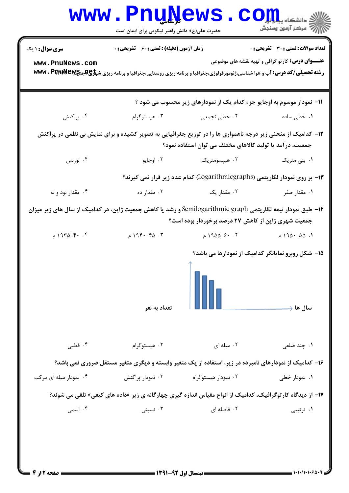|                                                                                                             | <b>www.PnuNews</b><br>حضرت علی(ع): دانش راهبر نیکویی برای ایمان است                                                                           |                                                            | الاد دانشکاه پیاه <mark>راور</mark><br>الا مرکز آزمون وسنجش                 |
|-------------------------------------------------------------------------------------------------------------|-----------------------------------------------------------------------------------------------------------------------------------------------|------------------------------------------------------------|-----------------------------------------------------------------------------|
| <b>سری سوال : ۱ یک</b>                                                                                      | <b>زمان آزمون (دقیقه) : تستی : 60 گشریحی : 0</b>                                                                                              |                                                            | <b>تعداد سوالات : تستی : 30 ٪ تشریحی : 0</b>                                |
| www.PnuNews.com                                                                                             | <b>رشته تحصیلی/کد درس: آ</b> ب و هوا شناسی،ژئومورفولوژی،جغرافیا و برنامه ریزی روستایی،جغرافیا و برنامه ریزی ش <del>پاو@هیای Www . PINWe</del> |                                                            | <b>عنـــوان درس:</b> کار تو گرافی و تهیه نقشه های موضوعی                    |
|                                                                                                             |                                                                                                                                               |                                                            | 11- نمودار موسوم به اوجایو جزء کدام یک از نمودارهای زیر محسوب می شود ؟      |
| ۰۴ پراکنش                                                                                                   | ۰۳ هیستوگرام                                                                                                                                  | ۰۲ خطی تجمعی                                               | ۰۱ خطی ساده                                                                 |
|                                                                                                             | ۱۲- کدامیک از منحنی زیر درجه ناهمواری ها را در توزیع جغرافیایی به تصویر کشیده و برای نمایش بی نظمی در پراکنش                                  | جمعیت، در آمد یا تولید کالاهای مختلف می توان استفاده نمود؟ |                                                                             |
| ۰۴ لورنس                                                                                                    | ۰۳ اوجايو                                                                                                                                     | ۰۲ هیپسومتریک                                              | ۰۱ بتی متریک                                                                |
|                                                                                                             |                                                                                                                                               |                                                            | ۱۳- بر روی نمودار لگاریتمی (Logarithmicgraphs) کدام عدد زیر قرار نمی گیرند؟ |
| ۰۴ مقدار نود و نه                                                                                           | ۰۳ مقدار ده                                                                                                                                   | ۰۲ مقدار یک                                                | ۰۱ مقدار صفر                                                                |
| ۱۴– طبق نمودار نیمه لگاریتمی Semilogarithmic graph و رشد یا کاهش جمعیت ژاپن، در کدامیک از سال های زیر میزان |                                                                                                                                               | جمعیت شهری ژاپن از کاهش ۲۷ درصد برخوردار بوده است؟         |                                                                             |
| $94^{\circ} - 9 - 6$ ۹۳۵ م                                                                                  | ۰۳ $-5$ ۲۹۴۰ $\alpha$ م                                                                                                                       | ۰۲ ۶۰–۱۹۵۵ م                                               | ۰۱ ۵۵–۱۹۵۰ م                                                                |
|                                                                                                             | تعداد به نفر                                                                                                                                  |                                                            | ۱۵– شکل روبرو نمایانگر کدامیک از نمودارها می باشد؟<br>سال ها ﴿              |
| ۰۴ قطبی                                                                                                     | ۰۳ هیستوگرام                                                                                                                                  | ۰۲ میله ای                                                 | ۰۱ چند ضلعی                                                                 |
|                                                                                                             | ۱۶– کدامیک از نمودارهای نامبرده در زیر، استفاده از یک متغیر وابسته و دیگری متغیر مستقل ضروری نمی باشد؟                                        |                                                            |                                                                             |
| ۰۴ نمودار میله ای مرکب                                                                                      | ۰۳ نمودار پراکنش                                                                                                                              | ۰۲ نمودار هیستوگرام                                        | ۰۱ نمودار خطی                                                               |
|                                                                                                             | ۱۷– از دیدگاه کارتوگرافیک، کدامیک از انواع مقیاس اندازه گیری چهارگانه ی زیر «داده های کیفی» تلقی می شوند؟                                     |                                                            |                                                                             |
| ۰۴ اسمی                                                                                                     | ۰۳ نسبتی $\cdot$                                                                                                                              | ۰۲ فاصله ای                                                | ۰۱ ترتیبی                                                                   |
|                                                                                                             | <b>: نیمسال اول ۹۲-۹۱۳۹۱ =</b>                                                                                                                |                                                            |                                                                             |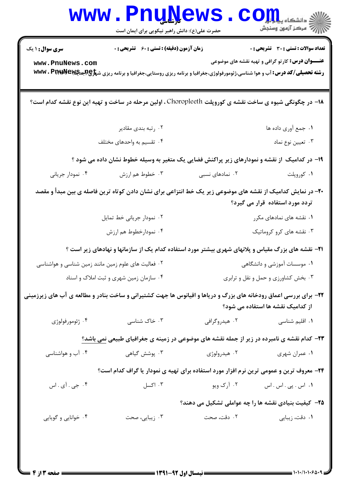| <b>سری سوال : ۱ یک</b>                                                                                                                       | <b>زمان آزمون (دقیقه) : تستی : 60 ٪ تشریحی : 0</b>                                 |                                     | <b>تعداد سوالات : تستی : 30 ٪ تشریحی : 0</b>                                                              |
|----------------------------------------------------------------------------------------------------------------------------------------------|------------------------------------------------------------------------------------|-------------------------------------|-----------------------------------------------------------------------------------------------------------|
| www.PnuNews.com                                                                                                                              |                                                                                    |                                     | <b>عنـــوان درس:</b> کارتو گرافی و تهیه نقشه های موضوعی                                                   |
| <b>رشته تحصیلی/کد درس: آ</b> ب و هوا شناسی،ژئومورفولوژی،جغرافیا و برنامه ریزی روستایی،جغرافیا و برنامه ریزی ش <del>پاو@هییت۷۴۹۷۷</del> ۰ WWW |                                                                                    |                                     |                                                                                                           |
| ۱۸− در چگونگی شیوه ی ساخت نقشه ی کوروپلت Choropleeth ، اولین مرحله در ساخت و تهیه این نوع نقشه کدام است؟                                     |                                                                                    |                                     |                                                                                                           |
|                                                                                                                                              | ۰۲ رتبه بندی مقادیر                                                                |                                     | ١. جمع آوري داده ها                                                                                       |
|                                                                                                                                              | ۰۴ تقسیم به واحدهای مختلف                                                          |                                     | ۰۳ تعیین نوع نماد                                                                                         |
|                                                                                                                                              |                                                                                    |                                     | ۱۹- در کدامیک از نقشه و نمودارهای زیر پراکنش فضایی یک متغیر به وسیله خطوط نشان داده می شود ؟              |
| ۰۴ نمودار جریانی                                                                                                                             | ۰۳ خطوط هم ارزش                                                                    | ۰۲ نمادهای نسبی                     | ۰۱ کوروپلت                                                                                                |
| +۲- در نمایش کدامیک از نقشه های موضوعی زیر یک خط انتزاعی برای نشان دادن کوتاه ترین فاصله ی بین مبدأ و مقصد                                   |                                                                                    |                                     | تردد مورد استفاده قرار می گیرد؟                                                                           |
|                                                                                                                                              | ۰۲ نمودار جریانی خط تمایل                                                          |                                     | ۰۱ نقشه های نمادهای مکرر                                                                                  |
| ۰۴ نمودارخطوط هم ارزش                                                                                                                        |                                                                                    | ۰۳ نقشه های کرو کروماتیک            |                                                                                                           |
|                                                                                                                                              |                                                                                    |                                     | <b>۲۱</b> - نقشه های بزرگ مقیاس و پلانهای شهری بیشتر مورد استفاده کدام یک از سازمانها و نهادهای زیر است ؟ |
|                                                                                                                                              | ۰۱ موسسات آموزشی و دانشگاهی<br>۰۲ فعالیت های علوم زمین مانند زمین شناسی و هواشناسی |                                     |                                                                                                           |
| ۰۴ سازمان زمین شهری و ثبت املاک و اسناد                                                                                                      |                                                                                    | ۰۳ بخش کشاورزی و حمل و نقل و ترابری |                                                                                                           |
| ۲۲- برای بررسی اعماق رودخانه های بزرگ و دریاها و اقیانوس ها جهت کشتیرانی و ساخت بنادر و مطالعه ی آب های زیرزمینی                             |                                                                                    |                                     | از کدامیک نقشه ها استفاده می شود؟                                                                         |
| ۰۴ ژئومورفولوژي                                                                                                                              | ۰۳ خاک شناسی                                                                       | ۰۲ هیدروگرافی                       | ۰۱ اقلیم شناسی                                                                                            |
|                                                                                                                                              |                                                                                    |                                     | <b>۲۳</b> - کدام نقشه ی نامبرده در زیر از جمله نقشه های موضوعی در زمینه ی جغرافیای طبیعی <u>نمی</u> باشد؟ |
| ۰۴ آب و هواشناسی                                                                                                                             | ۰۳ پوشش گیاهی                                                                      | ۰۲ هیدرولوژی                        | ۰۱ عمران شهري                                                                                             |
|                                                                                                                                              |                                                                                    |                                     | ۲۴- معروف ترین و عمومی ترین نرم افزار مورد استفاده برای تهیه ی نمودار یا گراف کدام است؟                   |
| ۰۴ جي . آي . اس                                                                                                                              | ۰۳ اکسل                                                                            | ۰۲ آرک ویو                          | ۰۱ اس . پی . اس . اس                                                                                      |
|                                                                                                                                              |                                                                                    |                                     | <b>۲۵</b> - کیفیت بنیادی نقشه ها را چه عواملی تشکیل می دهند؟                                              |
| ۰۴ خوانایی و گویایی                                                                                                                          | ۰۳ زیبایی، صحت                                                                     | ۲. دقت، صحت                         | ۰۱ دقت، زیبایی                                                                                            |